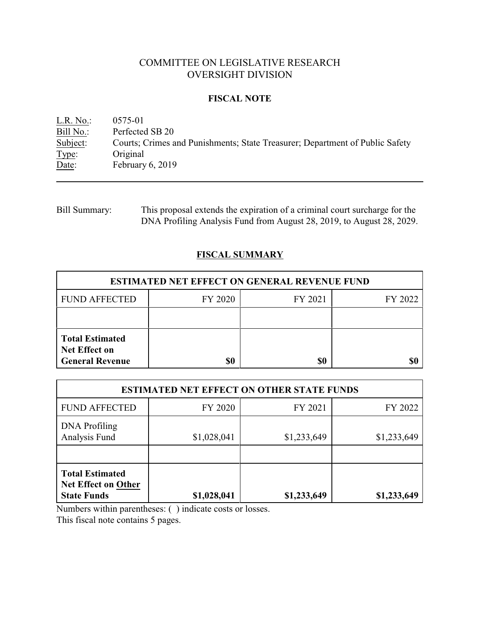# COMMITTEE ON LEGISLATIVE RESEARCH OVERSIGHT DIVISION

## **FISCAL NOTE**

<u>L.R. No.</u>: 0575-01<br>Bill No.: Perfected Bill No.: Perfected SB 20<br>Subject: Courts; Crimes a Subject: Courts; Crimes and Punishments; State Treasurer; Department of Public Safety Type: Original Type: Original<br>Date: February February 6, 2019

| <b>Bill Summary:</b> | This proposal extends the expiration of a criminal court surcharge for the |
|----------------------|----------------------------------------------------------------------------|
|                      | DNA Profiling Analysis Fund from August 28, 2019, to August 28, 2029.      |

# **FISCAL SUMMARY**

| <b>ESTIMATED NET EFFECT ON GENERAL REVENUE FUND</b>                      |         |         |         |  |  |
|--------------------------------------------------------------------------|---------|---------|---------|--|--|
| <b>FUND AFFECTED</b>                                                     | FY 2020 | FY 2021 | FY 2022 |  |  |
|                                                                          |         |         |         |  |  |
| <b>Total Estimated</b><br><b>Net Effect on</b><br><b>General Revenue</b> |         | \$0     |         |  |  |

| <b>ESTIMATED NET EFFECT ON OTHER STATE FUNDS</b>                           |             |             |             |  |  |
|----------------------------------------------------------------------------|-------------|-------------|-------------|--|--|
| <b>FUND AFFECTED</b>                                                       | FY 2020     | FY 2021     | FY 2022     |  |  |
| <b>DNA</b> Profiling<br>Analysis Fund                                      | \$1,028,041 | \$1,233,649 | \$1,233,649 |  |  |
| <b>Total Estimated</b><br><b>Net Effect on Other</b><br><b>State Funds</b> | \$1,028,041 | \$1,233,649 | \$1,233,649 |  |  |

Numbers within parentheses: ( ) indicate costs or losses. This fiscal note contains 5 pages.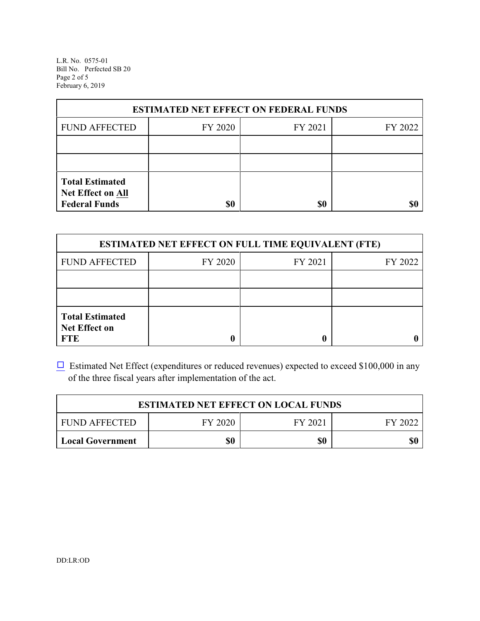L.R. No. 0575-01 Bill No. Perfected SB 20 Page 2 of 5 February 6, 2019

| <b>ESTIMATED NET EFFECT ON FEDERAL FUNDS</b>                        |         |         |         |  |  |
|---------------------------------------------------------------------|---------|---------|---------|--|--|
| <b>FUND AFFECTED</b>                                                | FY 2020 | FY 2021 | FY 2022 |  |  |
|                                                                     |         |         |         |  |  |
|                                                                     |         |         |         |  |  |
| <b>Total Estimated</b><br>Net Effect on All<br><b>Federal Funds</b> | \$0     | \$0     |         |  |  |

| <b>ESTIMATED NET EFFECT ON FULL TIME EQUIVALENT (FTE)</b>    |         |         |         |  |  |
|--------------------------------------------------------------|---------|---------|---------|--|--|
| <b>FUND AFFECTED</b>                                         | FY 2020 | FY 2021 | FY 2022 |  |  |
|                                                              |         |         |         |  |  |
|                                                              |         |         |         |  |  |
| <b>Total Estimated</b><br><b>Net Effect on</b><br><b>FTE</b> |         |         |         |  |  |

 $\Box$  Estimated Net Effect (expenditures or reduced revenues) expected to exceed \$100,000 in any of the three fiscal years after implementation of the act.

| <b>ESTIMATED NET EFFECT ON LOCAL FUNDS</b>            |     |     |     |  |  |
|-------------------------------------------------------|-----|-----|-----|--|--|
| FY 2020<br><b>FUND AFFECTED</b><br>FY 2021<br>FY 2022 |     |     |     |  |  |
| <b>Local Government</b>                               | \$0 | \$0 | \$0 |  |  |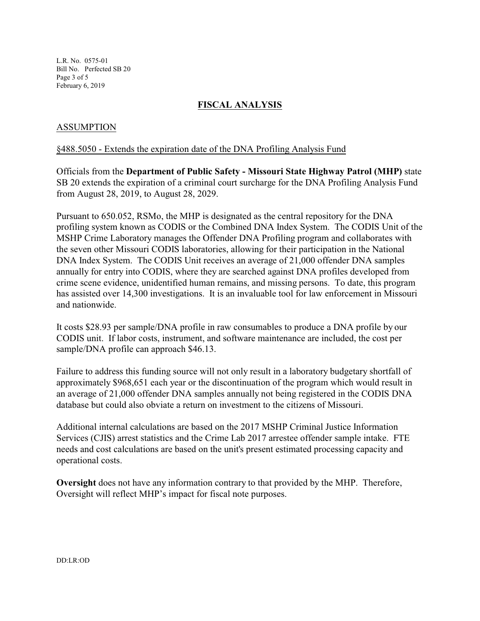L.R. No. 0575-01 Bill No. Perfected SB 20 Page 3 of 5 February 6, 2019

## **FISCAL ANALYSIS**

## ASSUMPTION

#### §488.5050 - Extends the expiration date of the DNA Profiling Analysis Fund

Officials from the **Department of Public Safety - Missouri State Highway Patrol (MHP)** state SB 20 extends the expiration of a criminal court surcharge for the DNA Profiling Analysis Fund from August 28, 2019, to August 28, 2029.

Pursuant to 650.052, RSMo, the MHP is designated as the central repository for the DNA profiling system known as CODIS or the Combined DNA Index System. The CODIS Unit of the MSHP Crime Laboratory manages the Offender DNA Profiling program and collaborates with the seven other Missouri CODIS laboratories, allowing for their participation in the National DNA Index System. The CODIS Unit receives an average of 21,000 offender DNA samples annually for entry into CODIS, where they are searched against DNA profiles developed from crime scene evidence, unidentified human remains, and missing persons. To date, this program has assisted over 14,300 investigations. It is an invaluable tool for law enforcement in Missouri and nationwide.

It costs \$28.93 per sample/DNA profile in raw consumables to produce a DNA profile by our CODIS unit. If labor costs, instrument, and software maintenance are included, the cost per sample/DNA profile can approach \$46.13.

Failure to address this funding source will not only result in a laboratory budgetary shortfall of approximately \$968,651 each year or the discontinuation of the program which would result in an average of 21,000 offender DNA samples annually not being registered in the CODIS DNA database but could also obviate a return on investment to the citizens of Missouri.

Additional internal calculations are based on the 2017 MSHP Criminal Justice Information Services (CJIS) arrest statistics and the Crime Lab 2017 arrestee offender sample intake. FTE needs and cost calculations are based on the unit's present estimated processing capacity and operational costs.

**Oversight** does not have any information contrary to that provided by the MHP. Therefore, Oversight will reflect MHP's impact for fiscal note purposes.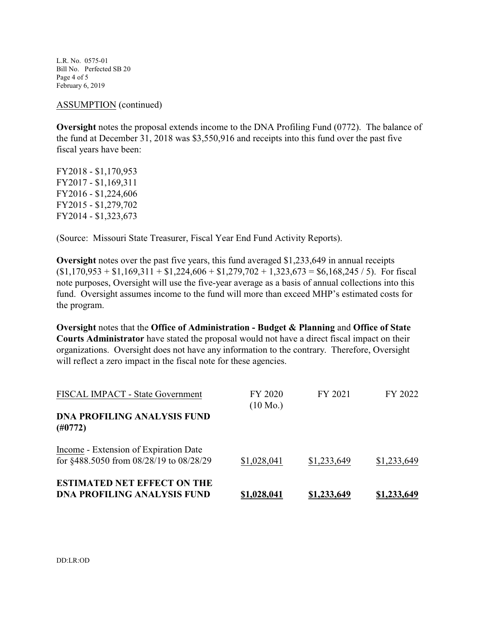L.R. No. 0575-01 Bill No. Perfected SB 20 Page 4 of 5 February 6, 2019

ASSUMPTION (continued)

**Oversight** notes the proposal extends income to the DNA Profiling Fund (0772). The balance of the fund at December 31, 2018 was \$3,550,916 and receipts into this fund over the past five fiscal years have been:

FY2018 - \$1,170,953 FY2017 - \$1,169,311 FY2016 - \$1,224,606 FY2015 - \$1,279,702 FY2014 - \$1,323,673

(Source: Missouri State Treasurer, Fiscal Year End Fund Activity Reports).

**Oversight** notes over the past five years, this fund averaged \$1,233,649 in annual receipts  $(1,170,953 + 1,169,311 + 1,224,606 + 1,279,702 + 1,323,673 = 1,68,245 / 5)$ . For fiscal note purposes, Oversight will use the five-year average as a basis of annual collections into this fund. Oversight assumes income to the fund will more than exceed MHP's estimated costs for the program.

**Oversight** notes that the **Office of Administration - Budget & Planning** and **Office of State Courts Administrator** have stated the proposal would not have a direct fiscal impact on their organizations. Oversight does not have any information to the contrary. Therefore, Oversight will reflect a zero impact in the fiscal note for these agencies.

| FISCAL IMPACT - State Government                                                 | FY 2020<br>$(10 \text{ Mo.})$ | FY 2021            | FY 2022            |
|----------------------------------------------------------------------------------|-------------------------------|--------------------|--------------------|
| <b>DNA PROFILING ANALYSIS FUND</b><br>(H0772)                                    |                               |                    |                    |
| Income - Extension of Expiration Date<br>for §488.5050 from 08/28/19 to 08/28/29 | \$1,028,041                   | \$1,233,649        | \$1,233,649        |
| <b>ESTIMATED NET EFFECT ON THE</b><br><b>DNA PROFILING ANALYSIS FUND</b>         | <u>\$1,028,041</u>            | <u>\$1,233,649</u> | <u>\$1,233,649</u> |